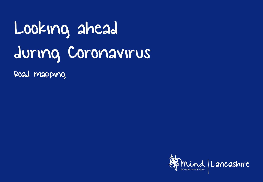## Looking ahead during Coronavirus

Road mapping

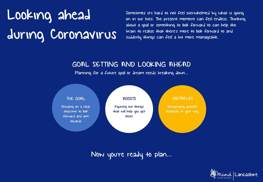## Looking ahead during Coronavirus

Sometimes it's hard to not feel overwhelmed by what is going on in our lives. The present moment can feel endless. Thinking about a goal or something to look forward to can help the brain to realise that there's more to look forward to and suddenly things can feel a bit more manageable.

## GOAL SETTING AND LOOKING AHEAD

Planning for a future goal or dream needs breaking down…



Now you're ready to plan…

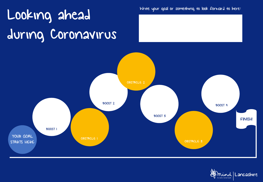## Write your goal or something to look forward to here: during Coronavirus